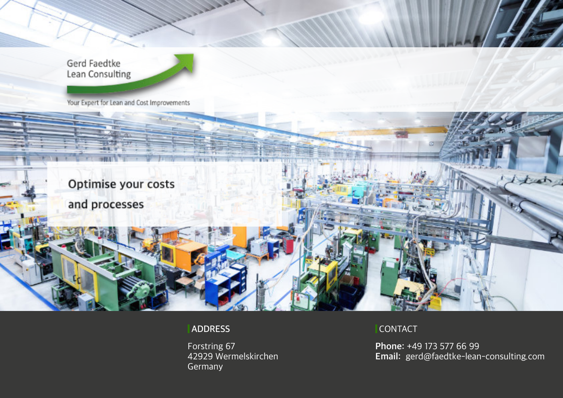Gerd Faedtke Lean Consulting

Your Expert for Lean and Cost Improvements

Optimise your costs and processes

#### **ADDRESS**

Forstring 67 42929 Wermelskirchen Germany

#### CONTACT

**Phone:** +49 173 577 66 99 **Email:** gerd@faedtke-lean-consulting.com

tat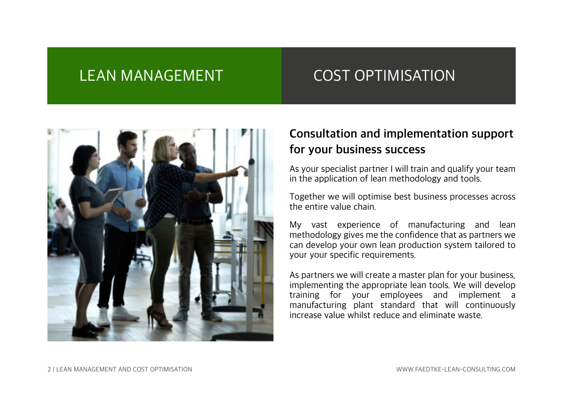# LEAN MANAGEMENT COST OPTIMISATION



## **Consultation and implementation support for your business success**

As your specialist partner I will train and qualify your team in the application of lean methodology and tools.

Together we will optimise best business processes across the entire value chain.

My vast experience of manufacturing and lean methodology gives me the confidence that as partners we can develop your own lean production system tailored to your your specific requirements.

As partners we will create a master plan for your business, implementing the appropriate lean tools. We will develop training for your employees and implement a manufacturing plant standard that will continuously increase value whilst reduce and eliminate waste.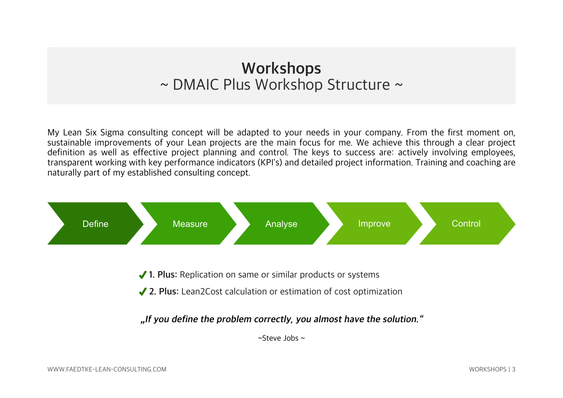# **Workshops** ~ DMAIC Plus Workshop Structure ~

My Lean Six Sigma consulting concept will be adapted to your needs in your company. From the first moment on, sustainable improvements of your Lean projects are the main focus for me. We achieve this through a clear project definition as well as effective project planning and control. The keys to success are: actively involving employees, transparent working with key performance indicators (KPI's) and detailed project information. Training and coaching are naturally part of my established consulting concept.

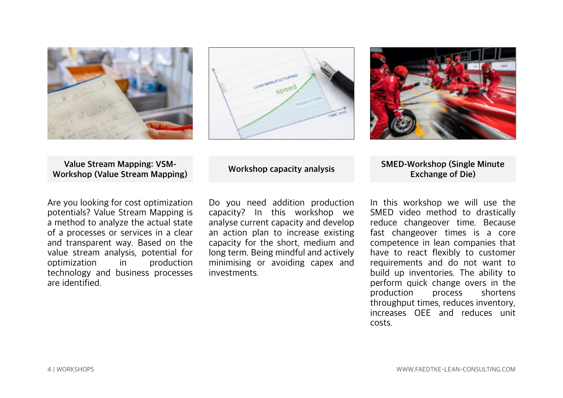





**Value Stream Mapping: VSM-Workshop (Value Stream Mapping)**

Are you looking for cost optimization potentials? Value Stream Mapping is a method to analyze the actual state of a processes or services in a clear and transparent way. Based on the value stream analysis, potential for<br>optimization in production optimization in technology and business processes are identified.

**Workshop capacity analysis**

Do you need addition production capacity? In this workshop we analyse current capacity and develop an action plan to increase existing capacity for the short, medium and long term. Being mindful and actively minimising or avoiding capex and investments.

**SMED-Workshop (Single Minute Exchange of Die)**

In this workshop we will use the SMED video method to drastically reduce changeover time. Because fast changeover times is a core competence in lean companies that have to react flexibly to customer requirements and do not want to build up inventories. The ability to perform quick change overs in the<br>production process shortens production throughput times, reduces inventory, increases OEE and reduces unit costs.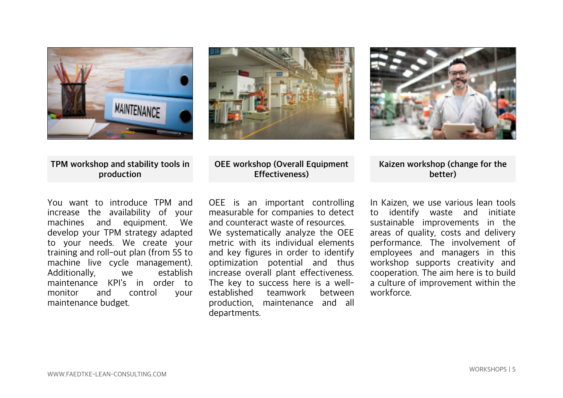





**TPM workshop and stability tools in production**

You want to introduce TPM and increase the availability of your machines and equipment. develop your TPM strategy adapted to your needs. We create your training and roll-out plan (from 5S to machine live cycle management).<br>Additionally, we establish Additionally, maintenance KPI's in order to<br>monitor and control vour control your maintenance budget.

#### **OEE workshop (Overall Equipment Effectiveness)**

OEE is an important controlling measurable for companies to detect and counteract waste of resources. We systematically analyze the OEE metric with its individual elements and key figures in order to identify optimization potential and thus increase overall plant effectiveness. The key to success here is a well-<br>established teamwork between teamwork between production, maintenance and all departments.

**Kaizen workshop (change for the better)**

In Kaizen, we use various lean tools to identify waste and initiate sustainable improvements in the areas of quality, costs and delivery performance. The involvement of employees and managers in this workshop supports creativity and cooperation. The aim here is to build a culture of improvement within the workforce.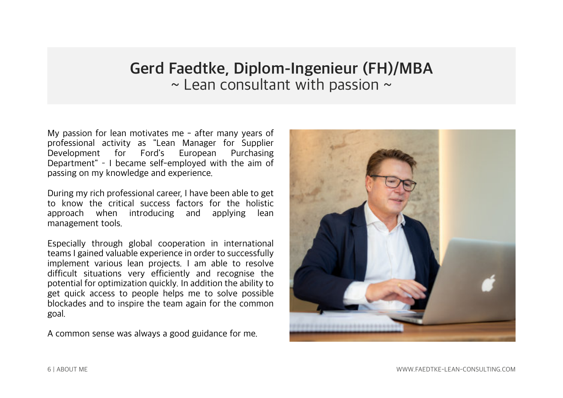# **Gerd Faedtke, Diplom-Ingenieur (FH)/MBA**  $\sim$  Lean consultant with passion  $\sim$

My passion for lean motivates me - after many years of professional activity as "Lean Manager for Supplier Development for Ford's European Purchasing Department" I became self-employed with the aim of passing on my knowledge and experience.

During my rich professional career, I have been able to get to know the critical success factors for the holistic approach when introducing and applying lean management tools.

Especially through global cooperation in international teams I gained valuable experience in order to successfully implement various lean projects. I am able to resolve difficult situations very efficiently and recognise the potential for optimization quickly. In addition the ability to get quick access to people helps me to solve possible blockades and to inspire the team again for the common goal.

A common sense was always a good guidance for me.

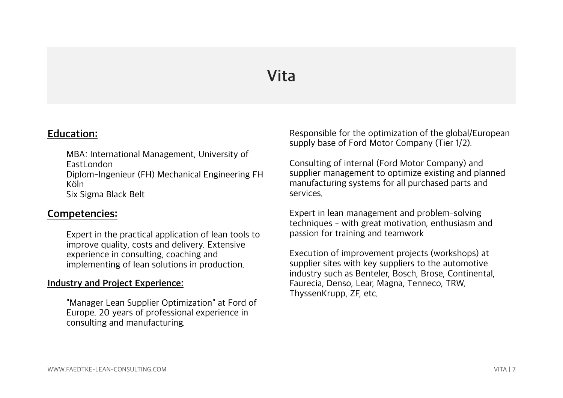# **Vita**

### **Education:**

MBA: International Management, University of EastLondon Diplom-Ingenieur (FH) Mechanical Engineering FH Köln Six Sigma Black Belt

#### **Competencies:**

Expert in the practical application of lean tools to improve quality, costs and delivery. Extensive experience in consulting, coaching and implementing of lean solutions in production.

#### **Industry and Project Experience:**

"Manager Lean Supplier Optimization" at Ford of Europe. 20 years of professional experience in consulting and manufacturing.

Responsible for the optimization of the global/European supply base of Ford Motor Company (Tier 1/2).

Consulting of internal (Ford Motor Company) and supplier management to optimize existing and planned manufacturing systems for all purchased parts and services.

Expert in lean management and problem-solving techniques - with great motivation, enthusiasm and passion for training and teamwork

Execution of improvement projects (workshops) at supplier sites with key suppliers to the automotive industry such as Benteler, Bosch, Brose, Continental, Faurecia, Denso, Lear, Magna, Tenneco, TRW, ThyssenKrupp, ZF, etc.